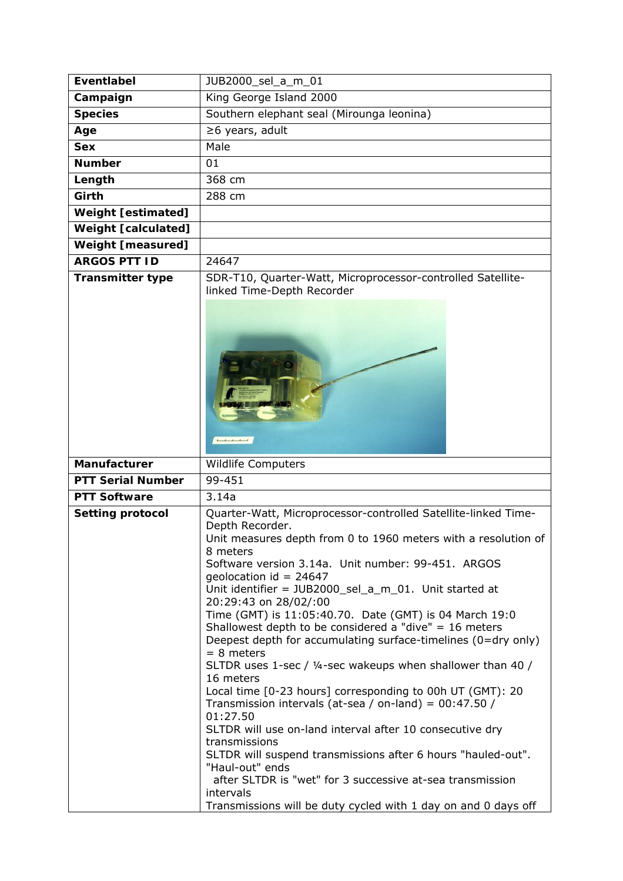| <b>Eventlabel</b>          | JUB2000_sel_a_m_01                                                                                                                                                                                                                                                                                                                                                                                                                                                                                                                                                                                                                                                                                                                                                                                                                                                                                                                                                                                                                                                      |
|----------------------------|-------------------------------------------------------------------------------------------------------------------------------------------------------------------------------------------------------------------------------------------------------------------------------------------------------------------------------------------------------------------------------------------------------------------------------------------------------------------------------------------------------------------------------------------------------------------------------------------------------------------------------------------------------------------------------------------------------------------------------------------------------------------------------------------------------------------------------------------------------------------------------------------------------------------------------------------------------------------------------------------------------------------------------------------------------------------------|
| Campaign                   | King George Island 2000                                                                                                                                                                                                                                                                                                                                                                                                                                                                                                                                                                                                                                                                                                                                                                                                                                                                                                                                                                                                                                                 |
| <b>Species</b>             | Southern elephant seal (Mirounga leonina)                                                                                                                                                                                                                                                                                                                                                                                                                                                                                                                                                                                                                                                                                                                                                                                                                                                                                                                                                                                                                               |
| Age                        | ≥6 years, adult                                                                                                                                                                                                                                                                                                                                                                                                                                                                                                                                                                                                                                                                                                                                                                                                                                                                                                                                                                                                                                                         |
| <b>Sex</b>                 | Male                                                                                                                                                                                                                                                                                                                                                                                                                                                                                                                                                                                                                                                                                                                                                                                                                                                                                                                                                                                                                                                                    |
| <b>Number</b>              | 01                                                                                                                                                                                                                                                                                                                                                                                                                                                                                                                                                                                                                                                                                                                                                                                                                                                                                                                                                                                                                                                                      |
| Length                     | 368 cm                                                                                                                                                                                                                                                                                                                                                                                                                                                                                                                                                                                                                                                                                                                                                                                                                                                                                                                                                                                                                                                                  |
| Girth                      | 288 cm                                                                                                                                                                                                                                                                                                                                                                                                                                                                                                                                                                                                                                                                                                                                                                                                                                                                                                                                                                                                                                                                  |
| <b>Weight [estimated]</b>  |                                                                                                                                                                                                                                                                                                                                                                                                                                                                                                                                                                                                                                                                                                                                                                                                                                                                                                                                                                                                                                                                         |
| <b>Weight [calculated]</b> |                                                                                                                                                                                                                                                                                                                                                                                                                                                                                                                                                                                                                                                                                                                                                                                                                                                                                                                                                                                                                                                                         |
| <b>Weight [measured]</b>   |                                                                                                                                                                                                                                                                                                                                                                                                                                                                                                                                                                                                                                                                                                                                                                                                                                                                                                                                                                                                                                                                         |
| <b>ARGOS PTT ID</b>        | 24647                                                                                                                                                                                                                                                                                                                                                                                                                                                                                                                                                                                                                                                                                                                                                                                                                                                                                                                                                                                                                                                                   |
| <b>Transmitter type</b>    | SDR-T10, Quarter-Watt, Microprocessor-controlled Satellite-                                                                                                                                                                                                                                                                                                                                                                                                                                                                                                                                                                                                                                                                                                                                                                                                                                                                                                                                                                                                             |
|                            | linked Time-Depth Recorder<br>$\begin{array}{ccccccccccccc}\n1 & 1 & 1 & 1 & 1\n\end{array}$                                                                                                                                                                                                                                                                                                                                                                                                                                                                                                                                                                                                                                                                                                                                                                                                                                                                                                                                                                            |
| Manufacturer               | Wildlife Computers                                                                                                                                                                                                                                                                                                                                                                                                                                                                                                                                                                                                                                                                                                                                                                                                                                                                                                                                                                                                                                                      |
| <b>PTT Serial Number</b>   | 99-451                                                                                                                                                                                                                                                                                                                                                                                                                                                                                                                                                                                                                                                                                                                                                                                                                                                                                                                                                                                                                                                                  |
| <b>PTT Software</b>        | 3.14a                                                                                                                                                                                                                                                                                                                                                                                                                                                                                                                                                                                                                                                                                                                                                                                                                                                                                                                                                                                                                                                                   |
| <b>Setting protocol</b>    | Quarter-Watt, Microprocessor-controlled Satellite-linked Time-<br>Depth Recorder.<br>Unit measures depth from 0 to 1960 meters with a resolution of<br>8 meters<br>Software version 3.14a. Unit number: 99-451. ARGOS<br>geolocation id = $24647$<br>Unit identifier = JUB2000_sel_a_m_01. Unit started at<br>20:29:43 on 28/02/:00<br>Time (GMT) is 11:05:40.70. Date (GMT) is 04 March 19:0<br>Shallowest depth to be considered a "dive" = $16$ meters<br>Deepest depth for accumulating surface-timelines (0=dry only)<br>$= 8$ meters<br>SLTDR uses 1-sec / 1/4-sec wakeups when shallower than 40 /<br>16 meters<br>Local time [0-23 hours] corresponding to 00h UT (GMT): 20<br>Transmission intervals (at-sea / on-land) = $00:47.50$ /<br>01:27.50<br>SLTDR will use on-land interval after 10 consecutive dry<br>transmissions<br>SLTDR will suspend transmissions after 6 hours "hauled-out".<br>"Haul-out" ends<br>after SLTDR is "wet" for 3 successive at-sea transmission<br>intervals<br>Transmissions will be duty cycled with 1 day on and 0 days off |